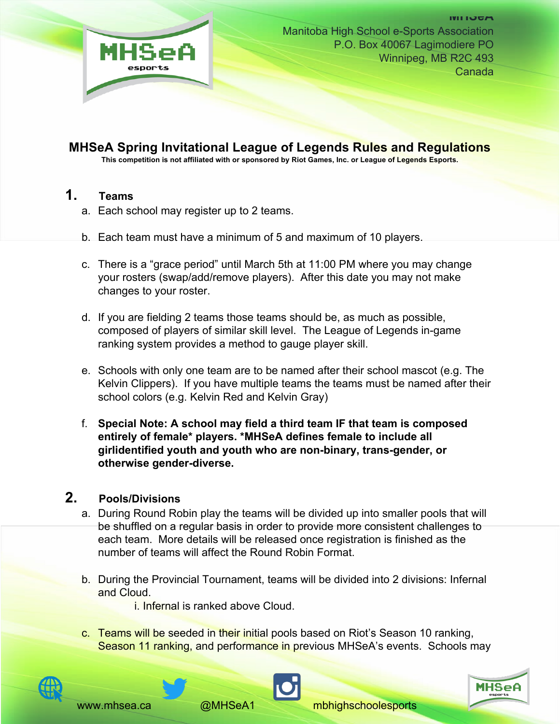

# **MHSeA Spring Invitational League of Legends Rules and Regulations**

**This competition is not affiliated with or sponsored by Riot Games, Inc. or League of Legends Esports.** 

#### **1. Teams**

- a. Each school may register up to 2 teams.
- b. Each team must have a minimum of 5 and maximum of 10 players.
- c. There is a "grace period" until March 5th at 11:00 PM where you may change your rosters (swap/add/remove players). After this date you may not make changes to your roster.
- d. If you are fielding 2 teams those teams should be, as much as possible, composed of players of similar skill level. The League of Legends in-game ranking system provides a method to gauge player skill.
- e. Schools with only one team are to be named after their school mascot (e.g. The Kelvin Clippers). If you have multiple teams the teams must be named after their school colors (e.g. Kelvin Red and Kelvin Gray)
- f. **Special Note: A school may field a third team IF that team is composed entirely of female\* players. \*MHSeA defines female to include all girlidentified youth and youth who are non-binary, trans-gender, or otherwise gender-diverse.**

## **2. Pools/Divisions**

- a. During Round Robin play the teams will be divided up into smaller pools that will be shuffled on a regular basis in order to provide more consistent challenges to each team. More details will be released once registration is finished as the number of teams will affect the Round Robin Format.
- b. During the Provincial Tournament, teams will be divided into 2 divisions: Infernal and Cloud.
	- i. Infernal is ranked above Cloud.
- c. Teams will be seeded in their initial pools based on Riot's Season 10 ranking, Season 11 ranking, and performance in previous MHSeA's events. Schools may





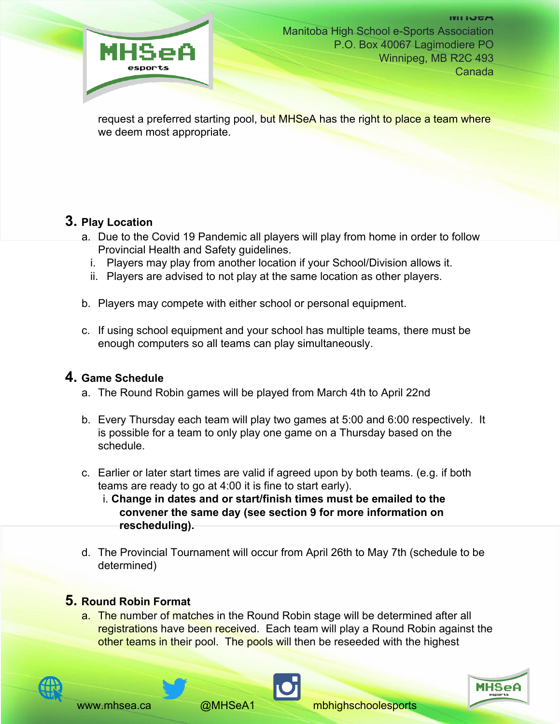

request a preferred starting pool, but MHSeA has the right to place a team where we deem most appropriate.

## **3. Play Location**

- a. Due to the Covid 19 Pandemic all players will play from home in order to follow Provincial Health and Safety guidelines.
	- i. Players may play from another location if your School/Division allows it.
	- ii. Players are advised to not play at the same location as other players.
- b. Players may compete with either school or personal equipment.
- c. If using school equipment and your school has multiple teams, there must be enough computers so all teams can play simultaneously.

#### **4. Game Schedule**

- a. The Round Robin games will be played from March 4th to April 22nd
- b. Every Thursday each team will play two games at 5:00 and 6:00 respectively. It is possible for a team to only play one game on a Thursday based on the schedule.
- c. Earlier or later start times are valid if agreed upon by both teams. (e.g. if both teams are ready to go at 4:00 it is fine to start early).
	- i. **Change in dates and or start/finish times must be emailed to the convener the same day (see section 9 for more information on rescheduling).**
- d. The Provincial Tournament will occur from April 26th to May 7th (schedule to be determined)

#### **5. Round Robin Format**

a. The number of matches in the Round Robin stage will be determined after all registrations have been received. Each team will play a Round Robin against the other teams in their pool. The pools will then be reseeded with the highest



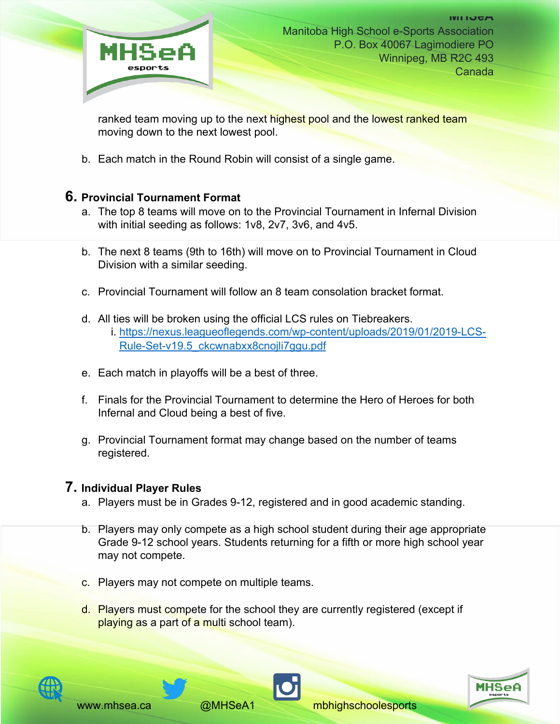

ranked team moving up to the next highest pool and the lowest ranked team moving down to the next lowest pool.

b. Each match in the Round Robin will consist of a single game.

#### **6. Provincial Tournament Format**

- a. The top 8 teams will move on to the Provincial Tournament in Infernal Division with initial seeding as follows: 1v8, 2v7, 3v6, and 4v5.
- b. The next 8 teams (9th to 16th) will move on to Provincial Tournament in Cloud Division with a similar seeding.
- c. Provincial Tournament will follow an 8 team consolation bracket format.
- d. All ties will be broken using the official LCS rules on Tiebreakers.
	- i. https://nexus.leagueoflegends.com/wp-content/uploads/2019/01/2019-LCS-Rule-Set-v19.5\_ckcwnabxx8cnojli7ggu.pdf
- e. Each match in playoffs will be a best of three.
- f. Finals for the Provincial Tournament to determine the Hero of Heroes for both Infernal and Cloud being a best of five.
- g. Provincial Tournament format may change based on the number of teams registered.

## **7. Individual Player Rules**

- a. Players must be in Grades 9-12, registered and in good academic standing.
- b. Players may only compete as a high school student during their age appropriate Grade 9-12 school years. Students returning for a fifth or more high school year may not compete.
- c. Players may not compete on multiple teams.
- d. Players must compete for the school they are currently registered (except if playing as a part of a multi school team).



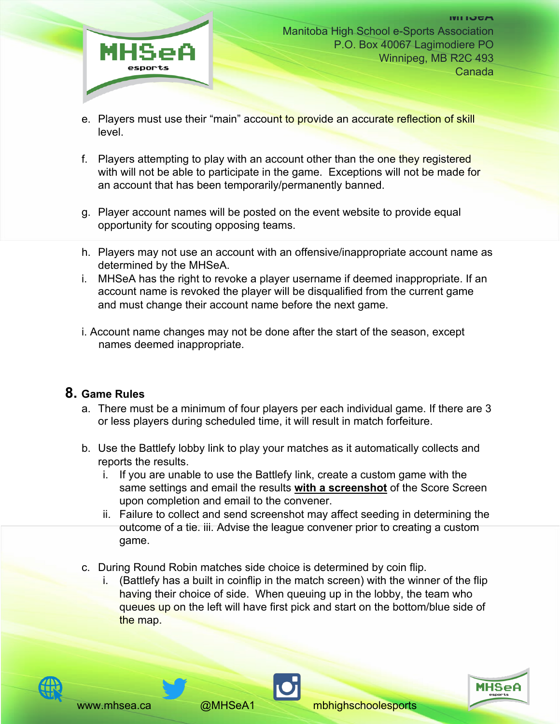

- e. Players must use their "main" account to provide an accurate reflection of skill level.
- f. Players attempting to play with an account other than the one they registered with will not be able to participate in the game. Exceptions will not be made for an account that has been temporarily/permanently banned.
- g. Player account names will be posted on the event website to provide equal opportunity for scouting opposing teams.
- h. Players may not use an account with an offensive/inappropriate account name as determined by the MHSeA.
- i. MHSeA has the right to revoke a player username if deemed inappropriate. If an account name is revoked the player will be disqualified from the current game and must change their account name before the next game.
- i. Account name changes may not be done after the start of the season, except names deemed inappropriate.

#### **8. Game Rules**

- a. There must be a minimum of four players per each individual game. If there are 3 or less players during scheduled time, it will result in match forfeiture.
- b. Use the Battlefy lobby link to play your matches as it automatically collects and reports the results.
	- i. If you are unable to use the Battlefy link, create a custom game with the same settings and email the results **with a screenshot** of the Score Screen upon completion and email to the convener.
	- ii. Failure to collect and send screenshot may affect seeding in determining the outcome of a tie. iii. Advise the league convener prior to creating a custom game.
- c. During Round Robin matches side choice is determined by coin flip.
	- i. (Battlefy has a built in coinflip in the match screen) with the winner of the flip having their choice of side. When queuing up in the lobby, the team who queues up on the left will have first pick and start on the bottom/blue side of the map.





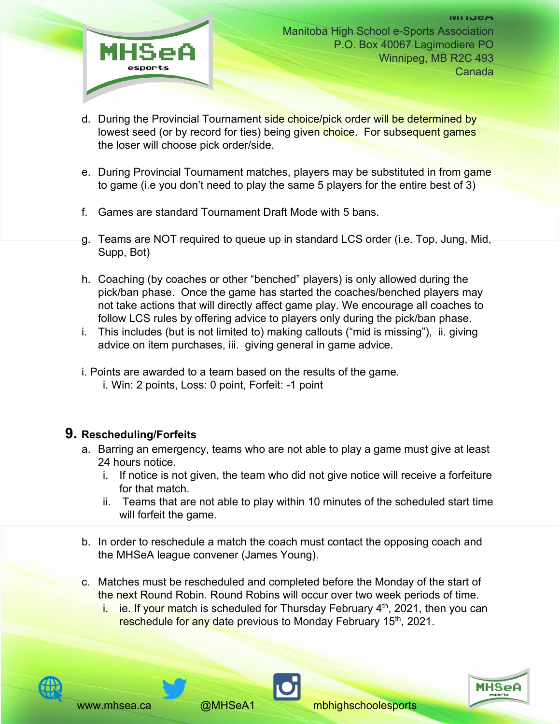

- d. During the Provincial Tournament side choice/pick order will be determined by lowest seed (or by record for ties) being given choice. For subsequent games the loser will choose pick order/side.
- e. During Provincial Tournament matches, players may be substituted in from game to game (i.e you don't need to play the same 5 players for the entire best of 3)
- f. Games are standard Tournament Draft Mode with 5 bans.
- g. Teams are NOT required to queue up in standard LCS order (i.e. Top, Jung, Mid, Supp, Bot)
- h. Coaching (by coaches or other "benched" players) is only allowed during the pick/ban phase. Once the game has started the coaches/benched players may not take actions that will directly affect game play. We encourage all coaches to follow LCS rules by offering advice to players only during the pick/ban phase.
- i. This includes (but is not limited to) making callouts ("mid is missing"), ii. giving advice on item purchases, iii. giving general in game advice.
- i. Points are awarded to a team based on the results of the game.
	- i. Win: 2 points, Loss: 0 point, Forfeit: -1 point

#### **9. Rescheduling/Forfeits**

- a. Barring an emergency, teams who are not able to play a game must give at least 24 hours notice.
	- i. If notice is not given, the team who did not give notice will receive a forfeiture for that match.
	- ii. Teams that are not able to play within 10 minutes of the scheduled start time will forfeit the game.
- b. In order to reschedule a match the coach must contact the opposing coach and the MHSeA league convener (James Young).
- c. Matches must be rescheduled and completed before the Monday of the start of the next Round Robin. Round Robins will occur over two week periods of time.
	- i. ie. If your match is scheduled for Thursday February  $4<sup>th</sup>$ , 2021, then you can reschedule for any date previous to Monday February 15<sup>th</sup>, 2021.







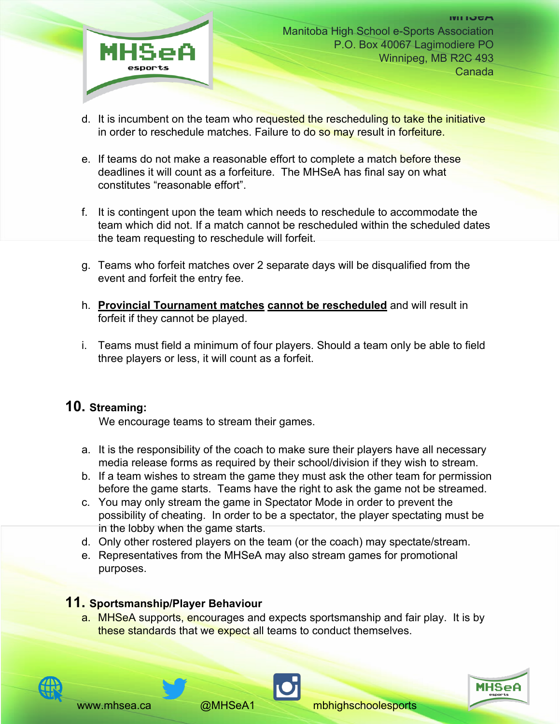

- d. It is incumbent on the team who requested the rescheduling to take the initiative in order to reschedule matches. Failure to do so may result in forfeiture.
- e. If teams do not make a reasonable effort to complete a match before these deadlines it will count as a forfeiture. The MHSeA has final say on what constitutes "reasonable effort".
- f. It is contingent upon the team which needs to reschedule to accommodate the team which did not. If a match cannot be rescheduled within the scheduled dates the team requesting to reschedule will forfeit.
- g. Teams who forfeit matches over 2 separate days will be disqualified from the event and forfeit the entry fee.
- h. **Provincial Tournament matches cannot be rescheduled** and will result in forfeit if they cannot be played.
- i. Teams must field a minimum of four players. Should a team only be able to field three players or less, it will count as a forfeit.

#### **10. Streaming:**

We encourage teams to stream their games.

- a. It is the responsibility of the coach to make sure their players have all necessary media release forms as required by their school/division if they wish to stream.
- b. If a team wishes to stream the game they must ask the other team for permission before the game starts. Teams have the right to ask the game not be streamed.
- c. You may only stream the game in Spectator Mode in order to prevent the possibility of cheating. In order to be a spectator, the player spectating must be in the lobby when the game starts.
- d. Only other rostered players on the team (or the coach) may spectate/stream.
- e. Representatives from the MHSeA may also stream games for promotional purposes.

## **11. Sportsmanship/Player Behaviour**

a. MHSeA supports, encourages and expects sportsmanship and fair play. It is by these standards that we expect all teams to conduct themselves.